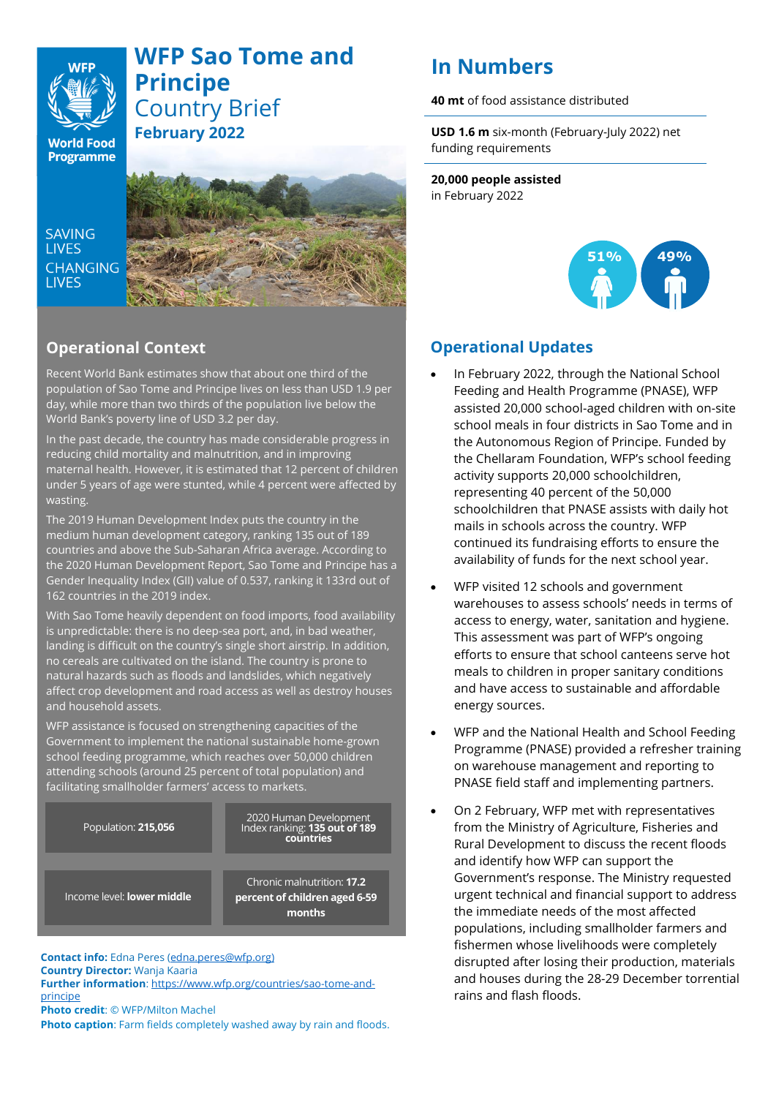## **WFP Sao Tome and Principe** Country Brief **February 2022**

**World Food** Programme

**WFF** 

**SAVING LIVES** CHANGING **I IVES** 



## **Operational Context**

Recent World Bank estimates show that about one third of the population of Sao Tome and Principe lives on less than USD 1.9 per day, while more than two thirds of the population live below the World Bank's poverty line of USD 3.2 per day.

In the past decade, the country has made considerable progress in reducing child mortality and malnutrition, and in improving maternal health. However, it is estimated that 12 percent of children under 5 years of age were stunted, while 4 percent were affected by wasting.

The 2019 Human Development Index puts the country in the medium human development category, ranking 135 out of 189 countries and above the Sub-Saharan Africa average. According to the 2020 Human Development Report, Sao Tome and Principe has a Gender Inequality Index (GII) value of 0.537, ranking it 133rd out of 162 countries in the 2019 index.

With Sao Tome heavily dependent on food imports, food availability is unpredictable: there is no deep-sea port, and, in bad weather, landing is difficult on the country's single short airstrip. In addition, no cereals are cultivated on the island. The country is prone to natural hazards such as floods and landslides, which negatively affect crop development and road access as well as destroy houses and household assets.

WFP assistance is focused on strengthening capacities of the Government to implement the national sustainable home-grown school feeding programme, which reaches over 50,000 children attending schools (around 25 percent of total population) and facilitating smallholder farmers' access to markets.

2020 Human Development Index ranking: **135 out of 189** Population: **215,056**

Income level: **lower middle**

Chronic malnutrition: **17.2 percent of children aged 6-59 months**

**countries**

**Contact info:** Edna Peres [\(edna.peres@wfp.org\)](mailto:edna.peres@wfp.org) **Country Director:** Wanja Kaaria **Further information**: [https://www.wfp.org/countries/sao-tome-and](https://www.wfp.org/countries/sao-tome-and-principe)[principe](https://www.wfp.org/countries/sao-tome-and-principe) **Photo credit**: © WFP/Milton Machel

**Photo caption**: Farm fields completely washed away by rain and floods.

# **In Numbers**

**40 mt** of food assistance distributed

**USD 1.6 m** six-month (February-July 2022) net funding requirements

**20,000 people assisted**  in February 2022



## **Operational Updates**

- In February 2022, through the National School Feeding and Health Programme (PNASE), WFP assisted 20,000 school-aged children with on-site school meals in four districts in Sao Tome and in the Autonomous Region of Principe. Funded by the Chellaram Foundation, WFP's school feeding activity supports 20,000 schoolchildren, representing 40 percent of the 50,000 schoolchildren that PNASE assists with daily hot mails in schools across the country. WFP continued its fundraising efforts to ensure the availability of funds for the next school year.
- WFP visited 12 schools and government warehouses to assess schools' needs in terms of access to energy, water, sanitation and hygiene. This assessment was part of WFP's ongoing efforts to ensure that school canteens serve hot meals to children in proper sanitary conditions and have access to sustainable and affordable energy sources.
- WFP and the National Health and School Feeding Programme (PNASE) provided a refresher training on warehouse management and reporting to PNASE field staff and implementing partners.
- On 2 February, WFP met with representatives from the Ministry of Agriculture, Fisheries and Rural Development to discuss the recent floods and identify how WFP can support the Government's response. The Ministry requested urgent technical and financial support to address the immediate needs of the most affected populations, including smallholder farmers and fishermen whose livelihoods were completely disrupted after losing their production, materials and houses during the 28-29 December torrential rains and flash floods.